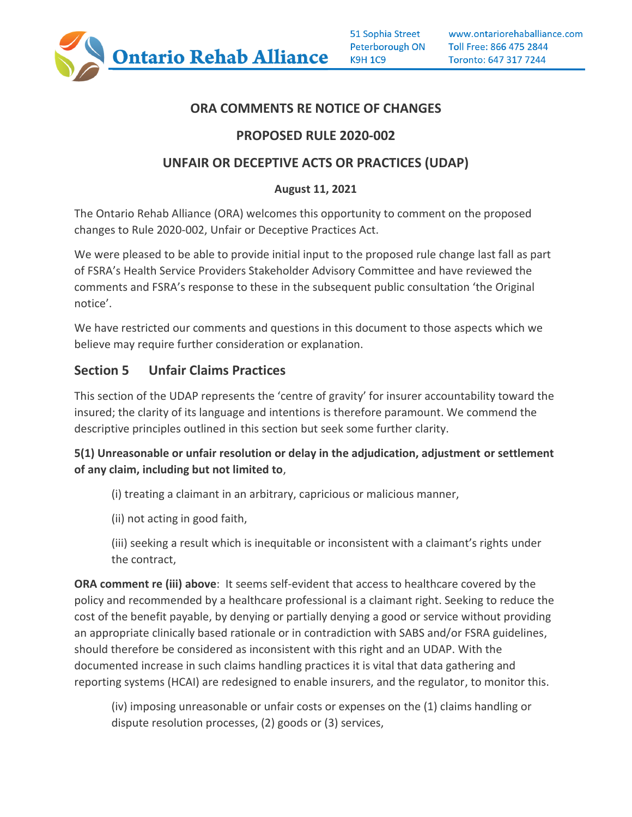

### **ORA COMMENTS RE NOTICE OF CHANGES**

## **PROPOSED RULE 2020-002**

### **UNFAIR OR DECEPTIVE ACTS OR PRACTICES (UDAP)**

### **August 11, 2021**

The Ontario Rehab Alliance (ORA) welcomes this opportunity to comment on the proposed changes to Rule 2020-002, Unfair or Deceptive Practices Act.

We were pleased to be able to provide initial input to the proposed rule change last fall as part of FSRA's Health Service Providers Stakeholder Advisory Committee and have reviewed the comments and FSRA's response to these in the subsequent public consultation 'the Original notice'.

We have restricted our comments and questions in this document to those aspects which we believe may require further consideration or explanation.

## **Section 5 Unfair Claims Practices**

This section of the UDAP represents the 'centre of gravity' for insurer accountability toward the insured; the clarity of its language and intentions is therefore paramount. We commend the descriptive principles outlined in this section but seek some further clarity.

### **5(1) Unreasonable or unfair resolution or delay in the adjudication, adjustment or settlement of any claim, including but not limited to**,

(i) treating a claimant in an arbitrary, capricious or malicious manner,

(ii) not acting in good faith,

(iii) seeking a result which is inequitable or inconsistent with a claimant's rights under the contract,

**ORA comment re (iii) above**: It seems self-evident that access to healthcare covered by the policy and recommended by a healthcare professional is a claimant right. Seeking to reduce the cost of the benefit payable, by denying or partially denying a good or service without providing an appropriate clinically based rationale or in contradiction with SABS and/or FSRA guidelines, should therefore be considered as inconsistent with this right and an UDAP. With the documented increase in such claims handling practices it is vital that data gathering and reporting systems (HCAI) are redesigned to enable insurers, and the regulator, to monitor this.

(iv) imposing unreasonable or unfair costs or expenses on the (1) claims handling or dispute resolution processes, (2) goods or (3) services,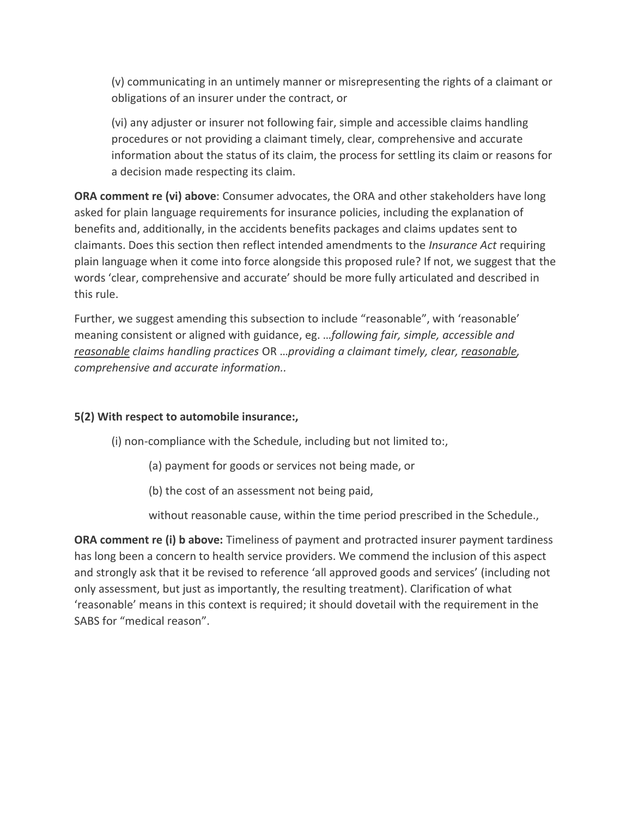(v) communicating in an untimely manner or misrepresenting the rights of a claimant or obligations of an insurer under the contract, or

(vi) any adjuster or insurer not following fair, simple and accessible claims handling procedures or not providing a claimant timely, clear, comprehensive and accurate information about the status of its claim, the process for settling its claim or reasons for a decision made respecting its claim.

**ORA comment re (vi) above**: Consumer advocates, the ORA and other stakeholders have long asked for plain language requirements for insurance policies, including the explanation of benefits and, additionally, in the accidents benefits packages and claims updates sent to claimants. Does this section then reflect intended amendments to the *Insurance Act* requiring plain language when it come into force alongside this proposed rule? If not, we suggest that the words 'clear, comprehensive and accurate' should be more fully articulated and described in this rule.

Further, we suggest amending this subsection to include "reasonable", with 'reasonable' meaning consistent or aligned with guidance, eg. …*following fair, simple, accessible and reasonable claims handling practices* OR …*providing a claimant timely, clear, reasonable, comprehensive and accurate information..* 

#### **5(2) With respect to automobile insurance:,**

(i) non-compliance with the Schedule, including but not limited to:,

(a) payment for goods or services not being made, or

(b) the cost of an assessment not being paid,

without reasonable cause, within the time period prescribed in the Schedule.,

**ORA comment re (i) b above:** Timeliness of payment and protracted insurer payment tardiness has long been a concern to health service providers. We commend the inclusion of this aspect and strongly ask that it be revised to reference 'all approved goods and services' (including not only assessment, but just as importantly, the resulting treatment). Clarification of what 'reasonable' means in this context is required; it should dovetail with the requirement in the SABS for "medical reason".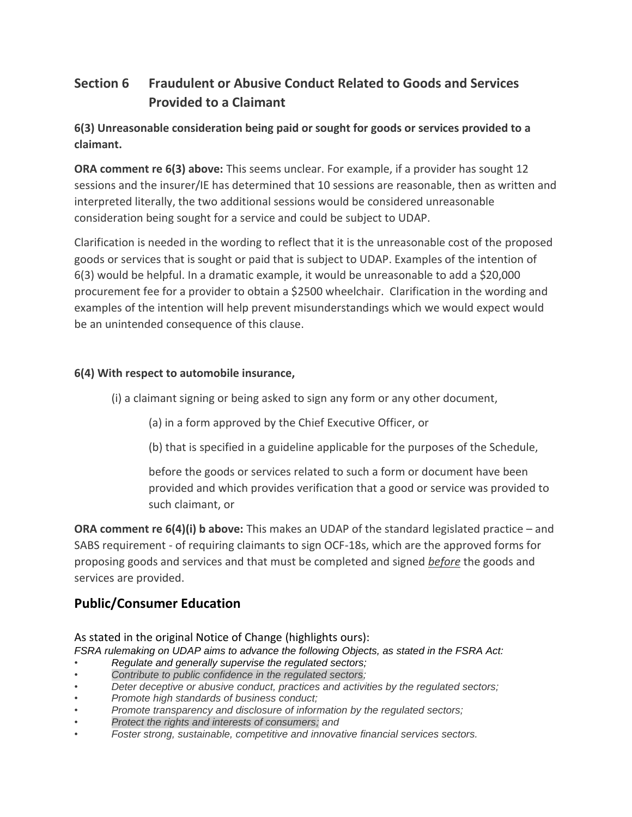# **Section 6 Fraudulent or Abusive Conduct Related to Goods and Services Provided to a Claimant**

**6(3) Unreasonable consideration being paid or sought for goods or services provided to a claimant.**

**ORA comment re 6(3) above:** This seems unclear. For example, if a provider has sought 12 sessions and the insurer/IE has determined that 10 sessions are reasonable, then as written and interpreted literally, the two additional sessions would be considered unreasonable consideration being sought for a service and could be subject to UDAP.

Clarification is needed in the wording to reflect that it is the unreasonable cost of the proposed goods or services that is sought or paid that is subject to UDAP. Examples of the intention of 6(3) would be helpful. In a dramatic example, it would be unreasonable to add a \$20,000 procurement fee for a provider to obtain a \$2500 wheelchair. Clarification in the wording and examples of the intention will help prevent misunderstandings which we would expect would be an unintended consequence of this clause.

### **6(4) With respect to automobile insurance,**

(i) a claimant signing or being asked to sign any form or any other document,

(a) in a form approved by the Chief Executive Officer, or

(b) that is specified in a guideline applicable for the purposes of the Schedule,

before the goods or services related to such a form or document have been provided and which provides verification that a good or service was provided to such claimant, or

**ORA comment re 6(4)(i) b above:** This makes an UDAP of the standard legislated practice – and SABS requirement - of requiring claimants to sign OCF-18s, which are the approved forms for proposing goods and services and that must be completed and signed *before* the goods and services are provided.

## **Public/Consumer Education**

As stated in the original Notice of Change (highlights ours):

*FSRA rulemaking on UDAP aims to advance the following Objects, as stated in the FSRA Act:* 

- *Regulate and generally supervise the regulated sectors;*
- *Contribute to public confidence in the regulated sectors;*
- *Deter deceptive or abusive conduct, practices and activities by the regulated sectors;*
- *Promote high standards of business conduct;*
- *Promote transparency and disclosure of information by the regulated sectors;*
- *Protect the rights and interests of consumers; and*
- *Foster strong, sustainable, competitive and innovative financial services sectors.*